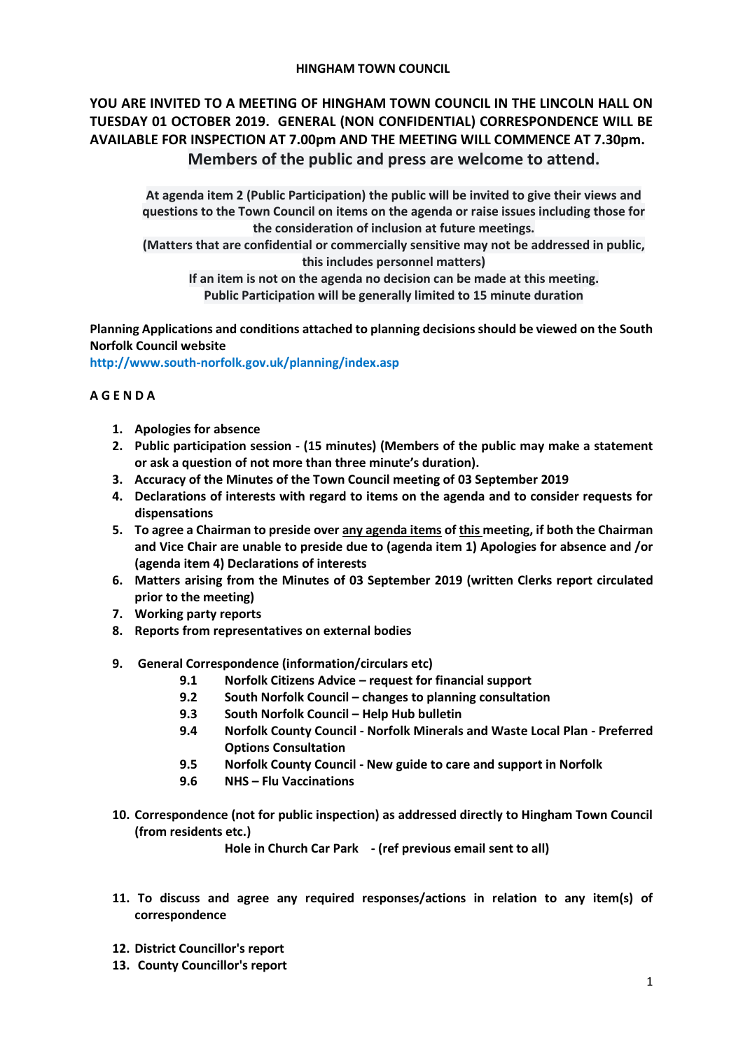### **HINGHAM TOWN COUNCIL**

# **YOU ARE INVITED TO A MEETING OF HINGHAM TOWN COUNCIL IN THE LINCOLN HALL ON TUESDAY 01 OCTOBER 2019. GENERAL (NON CONFIDENTIAL) CORRESPONDENCE WILL BE AVAILABLE FOR INSPECTION AT 7.00pm AND THE MEETING WILL COMMENCE AT 7.30pm. Members of the public and press are welcome to attend.**

**At agenda item 2 (Public Participation) the public will be invited to give their views and questions to the Town Council on items on the agenda or raise issues including those for the consideration of inclusion at future meetings.**

**(Matters that are confidential or commercially sensitive may not be addressed in public, this includes personnel matters)**

**If an item is not on the agenda no decision can be made at this meeting. Public Participation will be generally limited to 15 minute duration**

**Planning Applications and conditions attached to planning decisions should be viewed on the South Norfolk Council website** 

**<http://www.south-norfolk.gov.uk/planning/index.asp>**

## **A G E N D A**

- **1. Apologies for absence**
- **2. Public participation session - (15 minutes) (Members of the public may make a statement or ask a question of not more than three minute's duration).**
- **3. Accuracy of the Minutes of the Town Council meeting of 03 September 2019**
- **4. Declarations of interests with regard to items on the agenda and to consider requests for dispensations**
- **5. To agree a Chairman to preside over any agenda items of this meeting, if both the Chairman and Vice Chair are unable to preside due to (agenda item 1) Apologies for absence and /or (agenda item 4) Declarations of interests**
- **6. Matters arising from the Minutes of 03 September 2019 (written Clerks report circulated prior to the meeting)**
- **7. Working party reports**
- **8. Reports from representatives on external bodies**
- **9. General Correspondence (information/circulars etc)**
	- **9.1 Norfolk Citizens Advice – request for financial support**
	- **9.2 South Norfolk Council – changes to planning consultation**
	- **9.3 South Norfolk Council – Help Hub bulletin**
	- **9.4 Norfolk County Council - Norfolk Minerals and Waste Local Plan - Preferred Options Consultation**
	- **9.5 Norfolk County Council - New guide to care and support in Norfolk**
	- **9.6 NHS – Flu Vaccinations**
- **10. Correspondence (not for public inspection) as addressed directly to Hingham Town Council (from residents etc.)**

**Hole in Church Car Park - (ref previous email sent to all)** 

- **11. To discuss and agree any required responses/actions in relation to any item(s) of correspondence**
- **12. District Councillor's report**
- **13. County Councillor's report**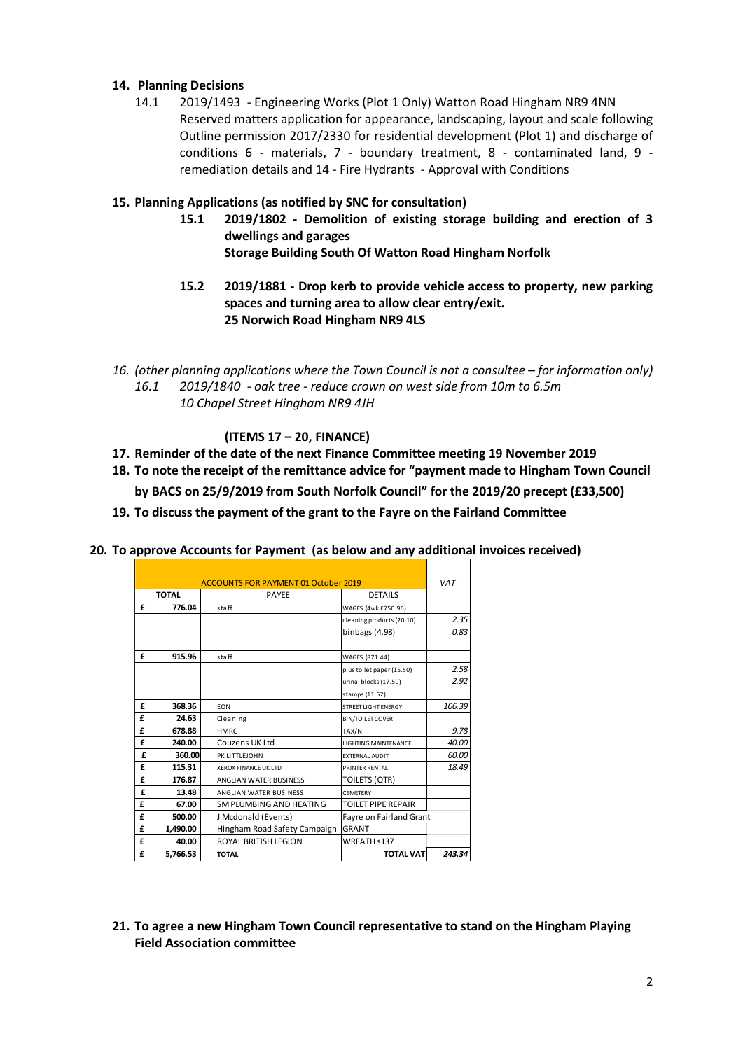## **14. Planning Decisions**

14.1 2019/1493 - Engineering Works (Plot 1 Only) Watton Road Hingham NR9 4NN Reserved matters application for appearance, landscaping, layout and scale following Outline permission 2017/2330 for residential development (Plot 1) and discharge of conditions 6 - materials, 7 - boundary treatment, 8 - contaminated land, 9 remediation details and 14 - Fire Hydrants - Approval with Conditions

### **15. Planning Applications (as notified by SNC for consultation)**

- **15.1 2019/1802 - Demolition of existing storage building and erection of 3 dwellings and garages Storage Building South Of Watton Road Hingham Norfolk**
- **15.2 2019/1881 - Drop kerb to provide vehicle access to property, new parking spaces and turning area to allow clear entry/exit. 25 Norwich Road Hingham NR9 4LS**
- 16. *(other planning applications where the Town Council is not a consultee for information only) 16.1 2019/1840 - oak tree - reduce crown on west side from 10m to 6.5m 10 Chapel Street Hingham NR9 4JH*

## **(ITEMS 17 – 20, FINANCE)**

- **17. Reminder of the date of the next Finance Committee meeting 19 November 2019**
- **18. To note the receipt of the remittance advice for "payment made to Hingham Town Council**

**by BACS on 25/9/2019 from South Norfolk Council" for the 2019/20 precept (£33,500)**

- **19. To discuss the payment of the grant to the Fayre on the Fairland Committee**
- **20. To approve Accounts for Payment (as below and any additional invoices received)**

|              |          | <b>ACCOUNTS FOR PAYMENT 01 October 2019</b> |                             | <b>VAT</b> |
|--------------|----------|---------------------------------------------|-----------------------------|------------|
| <b>TOTAL</b> |          | <b>PAYEE</b>                                | <b>DETAILS</b>              |            |
| £            | 776.04   | staff                                       | WAGES (4wk £750.96)         |            |
|              |          |                                             | cleaning products (20.10)   | 2.35       |
|              |          |                                             | binbags (4.98)              | 0.83       |
| £            | 915.96   | staff                                       | WAGES (871.44)              |            |
|              |          |                                             | plus toilet paper (15.50)   | 2.58       |
|              |          |                                             | urinal blocks (17.50)       | 2.92       |
|              |          |                                             | stamps (11.52)              |            |
| £            | 368.36   | <b>EON</b>                                  | <b>STREET LIGHT ENERGY</b>  | 106.39     |
| £            | 24.63    | Cleaning                                    | <b>BIN/TOILET COVER</b>     |            |
| £            | 678.88   | <b>HMRC</b>                                 | TAX/NI                      | 9.78       |
| £            | 240.00   | Couzens UK Ltd                              | <b>LIGHTING MAINTENANCE</b> | 40.00      |
| £            | 360.00   | PK LITTLEJOHN                               | <b>EXTERNAL AUDIT</b>       | 60.00      |
| £            | 115.31   | <b>XEROX FINANCE UK LTD</b>                 | PRINTER RENTAL              | 18.49      |
| £            | 176.87   | ANGLIAN WATER BUSINESS                      | TOILETS (QTR)               |            |
| £            | 13.48    | ANGLIAN WATER BUSINESS                      | <b>CEMETERY</b>             |            |
| £            | 67.00    | SM PLUMBING AND HEATING                     | TOILET PIPE REPAIR          |            |
| £            | 500.00   | J Mcdonald (Events)                         | Fayre on Fairland Grant     |            |
| £            | 1,490.00 | Hingham Road Safety Campaign                | <b>GRANT</b>                |            |
| £            | 40.00    | ROYAL BRITISH LEGION                        | WREATH s137                 |            |
| £            | 5,766.53 | <b>TOTAL</b>                                | <b>TOTAL VAT</b>            | 243.34     |

**21. To agree a new Hingham Town Council representative to stand on the Hingham Playing Field Association committee**